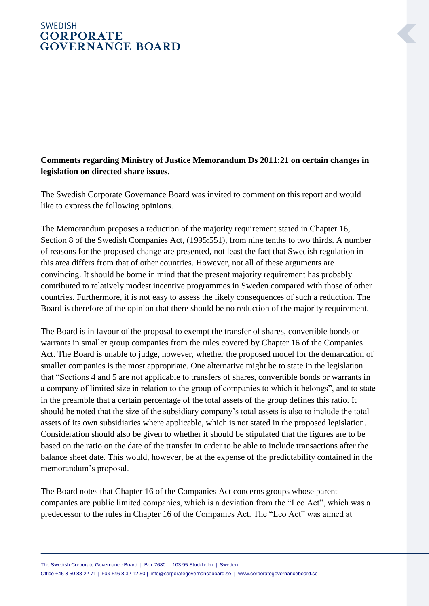## **SWEDISH CORPORATE GOVERNANCE BOARD**

## **Comments regarding Ministry of Justice Memorandum Ds 2011:21 on certain changes in legislation on directed share issues.**

The Swedish Corporate Governance Board was invited to comment on this report and would like to express the following opinions.

The Memorandum proposes a reduction of the majority requirement stated in Chapter 16, Section 8 of the Swedish Companies Act, (1995:551), from nine tenths to two thirds. A number of reasons for the proposed change are presented, not least the fact that Swedish regulation in this area differs from that of other countries. However, not all of these arguments are convincing. It should be borne in mind that the present majority requirement has probably contributed to relatively modest incentive programmes in Sweden compared with those of other countries. Furthermore, it is not easy to assess the likely consequences of such a reduction. The Board is therefore of the opinion that there should be no reduction of the majority requirement.

The Board is in favour of the proposal to exempt the transfer of shares, convertible bonds or warrants in smaller group companies from the rules covered by Chapter 16 of the Companies Act. The Board is unable to judge, however, whether the proposed model for the demarcation of smaller companies is the most appropriate. One alternative might be to state in the legislation that "Sections 4 and 5 are not applicable to transfers of shares, convertible bonds or warrants in a company of limited size in relation to the group of companies to which it belongs", and to state in the preamble that a certain percentage of the total assets of the group defines this ratio. It should be noted that the size of the subsidiary company's total assets is also to include the total assets of its own subsidiaries where applicable, which is not stated in the proposed legislation. Consideration should also be given to whether it should be stipulated that the figures are to be based on the ratio on the date of the transfer in order to be able to include transactions after the balance sheet date. This would, however, be at the expense of the predictability contained in the memorandum's proposal.

The Board notes that Chapter 16 of the Companies Act concerns groups whose parent companies are public limited companies, which is a deviation from the "Leo Act", which was a predecessor to the rules in Chapter 16 of the Companies Act. The "Leo Act" was aimed at

The Swedish Corporate Governance Board | Box 7680 | 103 95 Stockholm | Sweden Office +46 8 50 88 22 71 | Fax +46 8 32 12 50 | info@corporategovernanceboard.se | www.corporategovernanceboard.se